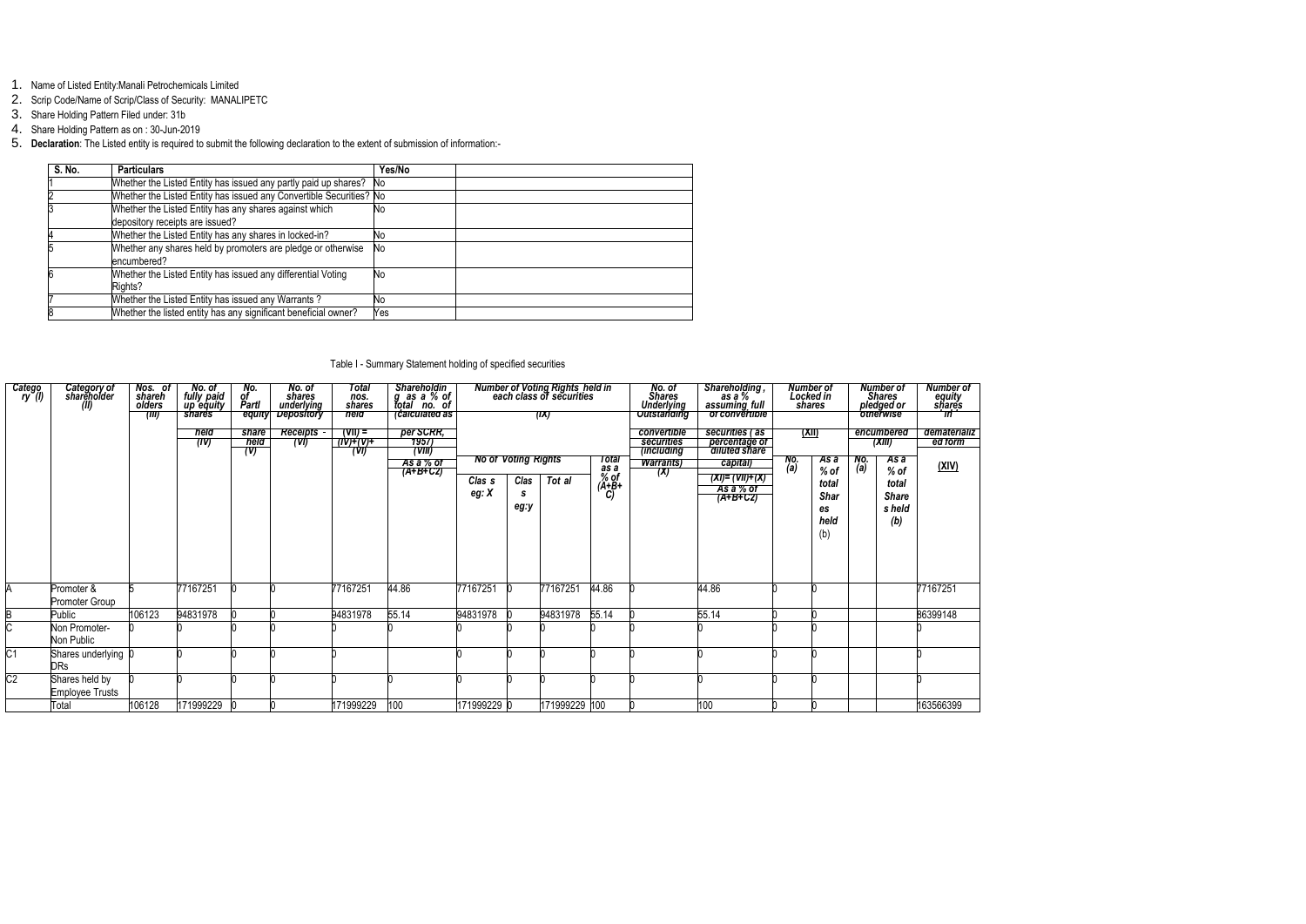- 1. Name of Listed Entity:Manali Petrochemicals Limited
- 2. Scrip Code/Name of Scrip/Class of Security: MANALIPETC
- 3. Share Holding Pattern Filed under: 31b
- 4. Share Holding Pattern as on : 30-Jun-2019

5. **Declaration**: The Listed entity is required to submit the following declaration to the extent of submission of information:-

| S. No. | <b>Particulars</b>                                                                        | Yes/No    |  |
|--------|-------------------------------------------------------------------------------------------|-----------|--|
|        | Whether the Listed Entity has issued any partly paid up shares?                           | 'No       |  |
|        | Whether the Listed Entity has issued any Convertible Securities? No                       |           |  |
|        | Whether the Listed Entity has any shares against which<br>depository receipts are issued? | No        |  |
|        | Whether the Listed Entity has any shares in locked-in?                                    | No        |  |
|        | Whether any shares held by promoters are pledge or otherwise<br>encumbered?               | <b>No</b> |  |
|        | Whether the Listed Entity has issued any differential Voting<br>Rights?                   | No        |  |
|        | Whether the Listed Entity has issued any Warrants?                                        | No        |  |
|        | Whether the listed entity has any significant beneficial owner?                           | Yes       |  |

# Table I - Summary Statement holding of specified securities

| Catego<br>(I) ry | Category of<br>shareholder<br>(II)       | Nos. of<br>shareh<br>olders<br>(III) | No. of<br>fully paid<br>up equity<br>shares<br>held<br>(IV) | No.<br>of<br>Partl<br>equity<br>share<br>held<br>(V) | No. of<br>shares<br>underlying<br><b>Depository</b><br><b>Receipts</b><br>(VI) | Total<br>nos.<br>shares<br>held<br>(VII) =<br>7N)+(V)+<br>(VI) | Shareholdin<br>g as a % of<br>total no. of<br>calculated as<br>per SCRR,<br>7957<br>$(\mathsf{VIII})$ |                              |                            | Number of Voting Rights held in<br>each class of securities<br>(IX) |                             | No. of<br>Shares<br>Underlying<br><b>Outstanding</b><br>convertible<br>securities<br><i>(including</i> | , Shareholding<br>as a %<br>assuming_full<br>of convertible<br>securities (as<br>percentage of<br>diluted share | Number of<br>Locked in<br>shares<br><u>(XII)</u> |                                    |            | Number of<br>Shares<br>pledged or<br>otherwise<br>encumbered<br>(XIII) | Number of<br>equity<br>shares<br>$\overline{m}$<br>dematerializ<br>ed form |
|------------------|------------------------------------------|--------------------------------------|-------------------------------------------------------------|------------------------------------------------------|--------------------------------------------------------------------------------|----------------------------------------------------------------|-------------------------------------------------------------------------------------------------------|------------------------------|----------------------------|---------------------------------------------------------------------|-----------------------------|--------------------------------------------------------------------------------------------------------|-----------------------------------------------------------------------------------------------------------------|--------------------------------------------------|------------------------------------|------------|------------------------------------------------------------------------|----------------------------------------------------------------------------|
|                  |                                          |                                      |                                                             |                                                      |                                                                                |                                                                | As a % of<br>$(A+B+CZ)$                                                                               |                              | <b>No of Voting Rights</b> |                                                                     | Total                       | <b>Warrants</b> )<br>(X)                                                                               | capital)                                                                                                        | No.<br>(a)                                       | As a<br>$%$ of                     | No.<br>(a) | As a<br>$%$ of                                                         | <u>(XIV)</u>                                                               |
|                  |                                          |                                      |                                                             |                                                      |                                                                                |                                                                |                                                                                                       | Clas <sub>s</sub><br>eg: $X$ | Clas<br>S<br>eg:y          | Tot al                                                              | as a<br>% of<br>(A+B+<br>C) |                                                                                                        | (XI)= (VII)+(X)<br>As a % of<br>$(A+B+CZ)$                                                                      |                                                  | total<br>Shar<br>es<br>held<br>(b) |            | total<br><b>Share</b><br>s held<br>(b)                                 |                                                                            |
| Α                | Promoter &<br>Promoter Group             |                                      | 77167251                                                    |                                                      |                                                                                | 77167251                                                       | 44.86                                                                                                 | 77167251                     |                            | 77167251                                                            | 44.86                       |                                                                                                        | 44.86                                                                                                           |                                                  |                                    |            |                                                                        | 77167251                                                                   |
|                  | Public                                   | 106123                               | 94831978                                                    |                                                      |                                                                                | 94831978                                                       | 55.14                                                                                                 | 94831978                     |                            | 94831978                                                            | 55.14                       |                                                                                                        | 55.14                                                                                                           |                                                  |                                    |            |                                                                        | 86399148                                                                   |
|                  | Non Promoter-<br>Non Public              |                                      |                                                             |                                                      |                                                                                |                                                                |                                                                                                       |                              |                            |                                                                     |                             |                                                                                                        |                                                                                                                 |                                                  |                                    |            |                                                                        |                                                                            |
| $\overline{C1}$  | Shares underlying 0<br>DRs               |                                      |                                                             |                                                      |                                                                                |                                                                |                                                                                                       |                              |                            |                                                                     |                             |                                                                                                        |                                                                                                                 |                                                  |                                    |            |                                                                        |                                                                            |
| $\overline{C2}$  | Shares held by<br><b>Employee Trusts</b> |                                      |                                                             |                                                      |                                                                                |                                                                |                                                                                                       |                              |                            |                                                                     |                             |                                                                                                        |                                                                                                                 |                                                  |                                    |            |                                                                        |                                                                            |
|                  | Total                                    | 106128                               | 171999229                                                   |                                                      |                                                                                | 171999229                                                      | 100                                                                                                   | 171999229 0                  |                            | 171999229 100                                                       |                             |                                                                                                        | 100                                                                                                             |                                                  |                                    |            |                                                                        | 163566399                                                                  |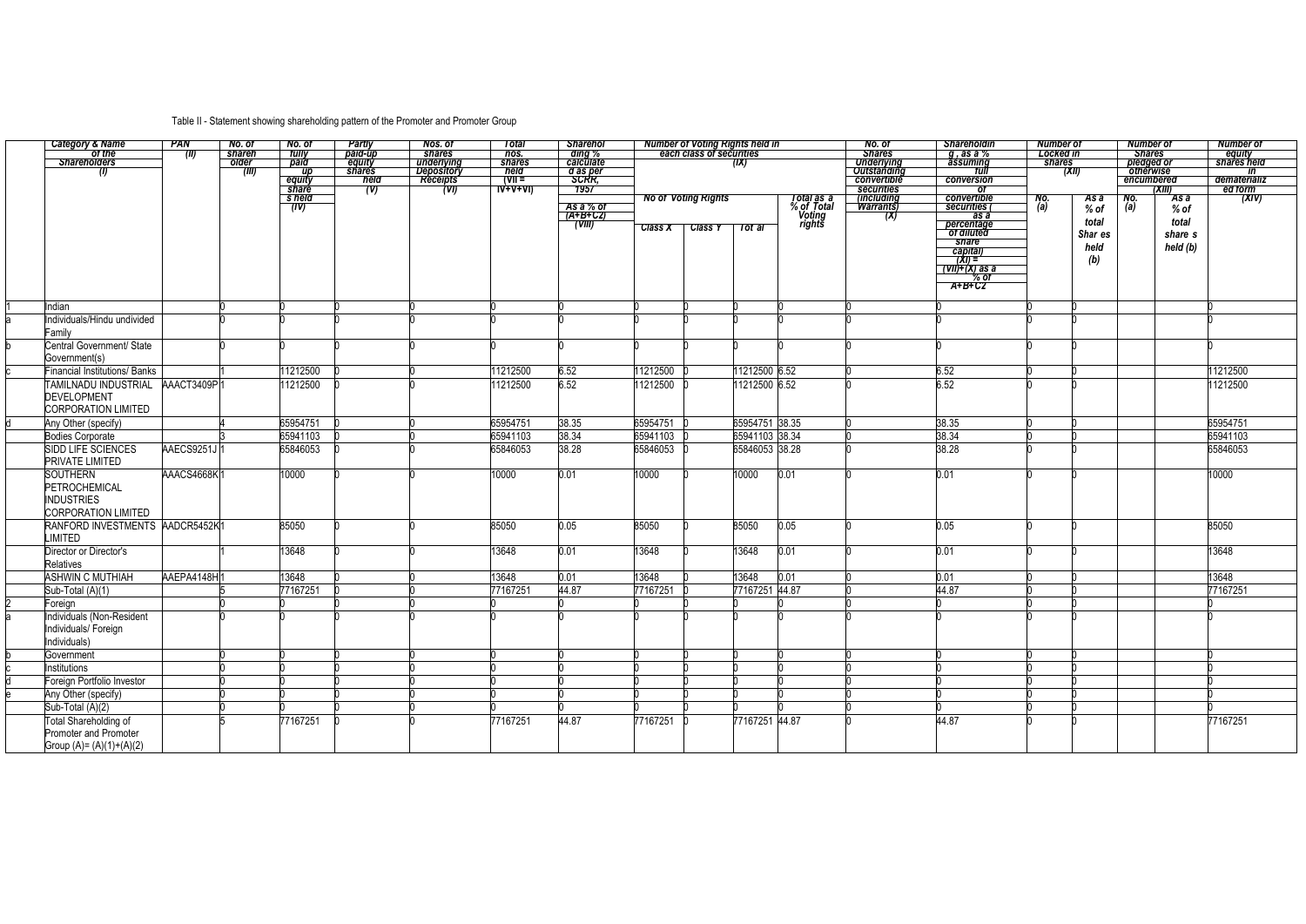# Table II - Statement showing shareholding pattern of the Promoter and Promoter Group

|   | <b>Category &amp; Name</b>           | <b>PAN</b>  | No. of | No. of         | Partly                  | Nos. of                  | Total                                                                                     | <b>Sharehol</b>       |                | <b>Number of Voting Rights held in</b> |                |                          | No. of                                  | <b>Shareholdin</b>        | <b>Number of</b> | <b>Number of</b>        |          | <b>Number of</b>      |
|---|--------------------------------------|-------------|--------|----------------|-------------------------|--------------------------|-------------------------------------------------------------------------------------------|-----------------------|----------------|----------------------------------------|----------------|--------------------------|-----------------------------------------|---------------------------|------------------|-------------------------|----------|-----------------------|
|   | of the                               | (M)         | shareh | tully          | paid-up                 | shares                   | nos.                                                                                      | ding %                |                | each class of securities               |                |                          | <b>Shares</b>                           | g, as a %                 | <b>Locked in</b> | <b>Shares</b>           |          | equity<br>shares held |
|   |                                      |             | older  | paid           | equity<br><b>shares</b> | underlying<br>Depository | shares<br>held                                                                            | calculate<br>d as per |                |                                        | (IX)           |                          | <b>Underlying</b><br><b>Outstanding</b> | assuming<br>tull          | shares           | pledged or<br>otherwise |          |                       |
|   | (I)                                  |             | (III)  | up<br>equity   | held                    | Receipts                 | $\overline{V}$ (VII =                                                                     | <b>SCRR</b> ,         |                |                                        |                |                          | convertible                             | conversion                |                  | (XII)<br>encumbered     |          | ın<br>dematerializ    |
|   |                                      |             |        | share          | (V)                     | (VI)                     | $\overline{W}$ $\overline{V}$ $\overline{V}$ $\overline{V}$ $\overline{V}$ $\overline{V}$ | 1957                  |                |                                        |                |                          | securities                              | 0t                        |                  |                         | (XIII)   | ed form               |
|   |                                      |             |        | s held<br>(IV) |                         |                          |                                                                                           | As a % of             |                | <b>No of Voting Rights</b>             |                | Total as a<br>% of Total | <i>(including</i><br><b>Warrants</b> )  | convertible<br>securities | No.<br>(a)       | No.<br>As a<br>(a)      | As a     | (XIV)                 |
|   |                                      |             |        |                |                         |                          |                                                                                           | (A+B+C2)              |                |                                        |                | Voting<br>rights         | (X)                                     | as a                      |                  | % of                    | $%$ of   |                       |
|   |                                      |             |        |                |                         |                          |                                                                                           | (VIII)                | <b>Class X</b> | <b>Class Y</b>                         | Tot al         |                          |                                         | percentage<br>of diluted  |                  | total                   | total    |                       |
|   |                                      |             |        |                |                         |                          |                                                                                           |                       |                |                                        |                |                          |                                         | share                     |                  | Shar es                 | share s  |                       |
|   |                                      |             |        |                |                         |                          |                                                                                           |                       |                |                                        |                |                          |                                         | capital)<br>(XI) =        |                  | held                    | held (b) |                       |
|   |                                      |             |        |                |                         |                          |                                                                                           |                       |                |                                        |                |                          |                                         | (VII)+(X) as a            |                  | (b)                     |          |                       |
|   |                                      |             |        |                |                         |                          |                                                                                           |                       |                |                                        |                |                          |                                         | % of                      |                  |                         |          |                       |
|   |                                      |             |        |                |                         |                          |                                                                                           |                       |                |                                        |                |                          |                                         | $A+B+CZ$                  |                  |                         |          |                       |
|   | Indian                               |             |        |                |                         |                          |                                                                                           |                       |                |                                        |                |                          |                                         |                           |                  |                         |          |                       |
|   | Individuals/Hindu undivided          |             |        |                |                         |                          |                                                                                           |                       |                |                                        |                |                          |                                         |                           |                  |                         |          |                       |
|   | Family                               |             |        |                |                         |                          |                                                                                           |                       |                |                                        |                |                          |                                         |                           |                  |                         |          |                       |
|   | Central Government/ State            |             |        |                |                         |                          |                                                                                           |                       |                |                                        |                |                          |                                         |                           |                  |                         |          |                       |
|   | Government(s)                        |             |        |                |                         |                          |                                                                                           |                       |                |                                        |                |                          |                                         |                           |                  |                         |          |                       |
|   | <b>Financial Institutions/ Banks</b> |             |        | 11212500       |                         |                          | 11212500                                                                                  | 6.52                  | 11212500       |                                        | 11212500 6.52  |                          |                                         | 6.52                      |                  |                         |          | 11212500              |
|   | <b>TAMILNADU INDUSTRIAL</b>          | AAACT3409P  |        | 11212500       |                         |                          | 11212500                                                                                  | 6.52                  | 11212500       |                                        | 11212500 6.52  |                          |                                         | 6.52                      |                  |                         |          | 11212500              |
|   | <b>DEVELOPMENT</b>                   |             |        |                |                         |                          |                                                                                           |                       |                |                                        |                |                          |                                         |                           |                  |                         |          |                       |
|   | <b>CORPORATION LIMITED</b>           |             |        |                |                         |                          |                                                                                           |                       |                |                                        |                |                          |                                         |                           |                  |                         |          |                       |
|   | Any Other (specify)                  |             |        | 65954751       |                         |                          | 65954751                                                                                  | 38.35                 | 65954751       |                                        | 65954751 38.35 |                          |                                         | 38.35                     |                  |                         |          | 65954751              |
|   | <b>Bodies Corporate</b>              |             |        | 65941103       |                         |                          | 65941103                                                                                  | 38.34                 | 65941103       |                                        | 65941103 38.34 |                          |                                         | 38.34                     |                  |                         |          | 65941103              |
|   | SIDD LIFE SCIENCES                   | AAECS9251J  |        | 65846053       |                         |                          | 65846053                                                                                  | 38.28                 | 65846053       |                                        | 65846053 38.28 |                          |                                         | 38.28                     |                  |                         |          | 65846053              |
|   | <b>PRIVATE LIMITED</b>               |             |        |                |                         |                          |                                                                                           |                       |                |                                        |                |                          |                                         |                           |                  |                         |          |                       |
|   | <b>SOUTHERN</b>                      | AAACS4668K1 |        | 10000          |                         |                          | 10000                                                                                     | 0.01                  | 10000          |                                        | 10000          | 0.01                     |                                         | 0.01                      |                  |                         |          | 10000                 |
|   | PETROCHEMICAL                        |             |        |                |                         |                          |                                                                                           |                       |                |                                        |                |                          |                                         |                           |                  |                         |          |                       |
|   | <b>INDUSTRIES</b>                    |             |        |                |                         |                          |                                                                                           |                       |                |                                        |                |                          |                                         |                           |                  |                         |          |                       |
|   | <b>CORPORATION LIMITED</b>           |             |        |                |                         |                          |                                                                                           |                       |                |                                        |                |                          |                                         |                           |                  |                         |          |                       |
|   | RANFORD INVESTMENTS AADCR5452K1      |             |        | 85050          |                         |                          | 85050                                                                                     | 0.05                  | 85050          |                                        | 85050          | 0.05                     |                                         | 0.05                      |                  |                         |          | 85050                 |
|   | <b>LIMITED</b>                       |             |        |                |                         |                          |                                                                                           |                       |                |                                        |                |                          |                                         |                           |                  |                         |          |                       |
|   | Director or Director's               |             |        | 13648          |                         |                          | 13648                                                                                     | 0.01                  | 13648          |                                        | 13648          | 0.01                     |                                         | 0.01                      |                  |                         |          | 13648                 |
|   | Relatives                            |             |        |                |                         |                          |                                                                                           |                       |                |                                        |                |                          |                                         |                           |                  |                         |          |                       |
|   | <b>ASHWIN C MUTHIAH</b>              | AAEPA4148H1 |        | 13648          |                         |                          | 13648                                                                                     | 0.01                  | 13648          |                                        | 13648          | 0.01                     |                                         | 0.01                      |                  |                         |          | 13648                 |
|   | Sub-Total (A)(1)                     |             |        | 77167251       |                         |                          | 77167251                                                                                  | 44.87                 | 77167251       |                                        | 77167251       | 44.87                    |                                         | 44.87                     |                  |                         |          | 77167251              |
|   | Foreign                              |             |        |                |                         |                          |                                                                                           |                       |                |                                        |                |                          |                                         |                           |                  |                         |          |                       |
|   | Individuals (Non-Resident            |             |        |                |                         |                          |                                                                                           |                       |                |                                        |                |                          |                                         |                           |                  |                         |          |                       |
|   | Individuals/ Foreign                 |             |        |                |                         |                          |                                                                                           |                       |                |                                        |                |                          |                                         |                           |                  |                         |          |                       |
|   | Individuals)                         |             |        |                |                         |                          |                                                                                           |                       |                |                                        |                |                          |                                         |                           |                  |                         |          |                       |
|   | Government                           |             |        |                |                         |                          |                                                                                           |                       |                |                                        |                |                          |                                         |                           |                  |                         |          |                       |
| C | Institutions                         |             |        |                |                         |                          |                                                                                           |                       |                |                                        |                |                          |                                         |                           |                  |                         |          |                       |
|   | Foreign Portfolio Investor           |             |        |                |                         |                          |                                                                                           |                       |                |                                        |                |                          |                                         |                           |                  |                         |          |                       |
| e | Any Other (specify)                  |             |        |                |                         |                          |                                                                                           |                       |                |                                        |                |                          |                                         |                           |                  |                         |          |                       |
|   | Sub-Total (A)(2)                     |             |        |                |                         |                          |                                                                                           |                       |                |                                        |                |                          |                                         |                           |                  |                         |          |                       |
|   | <b>Total Shareholding of</b>         |             |        | 77167251       |                         |                          | 77167251                                                                                  | 44.87                 | 77167251       |                                        | 77167251 44.87 |                          |                                         | 44.87                     |                  |                         |          | 77167251              |
|   | Promoter and Promoter                |             |        |                |                         |                          |                                                                                           |                       |                |                                        |                |                          |                                         |                           |                  |                         |          |                       |
|   | Group $(A) = (A)(1)+(A)(2)$          |             |        |                |                         |                          |                                                                                           |                       |                |                                        |                |                          |                                         |                           |                  |                         |          |                       |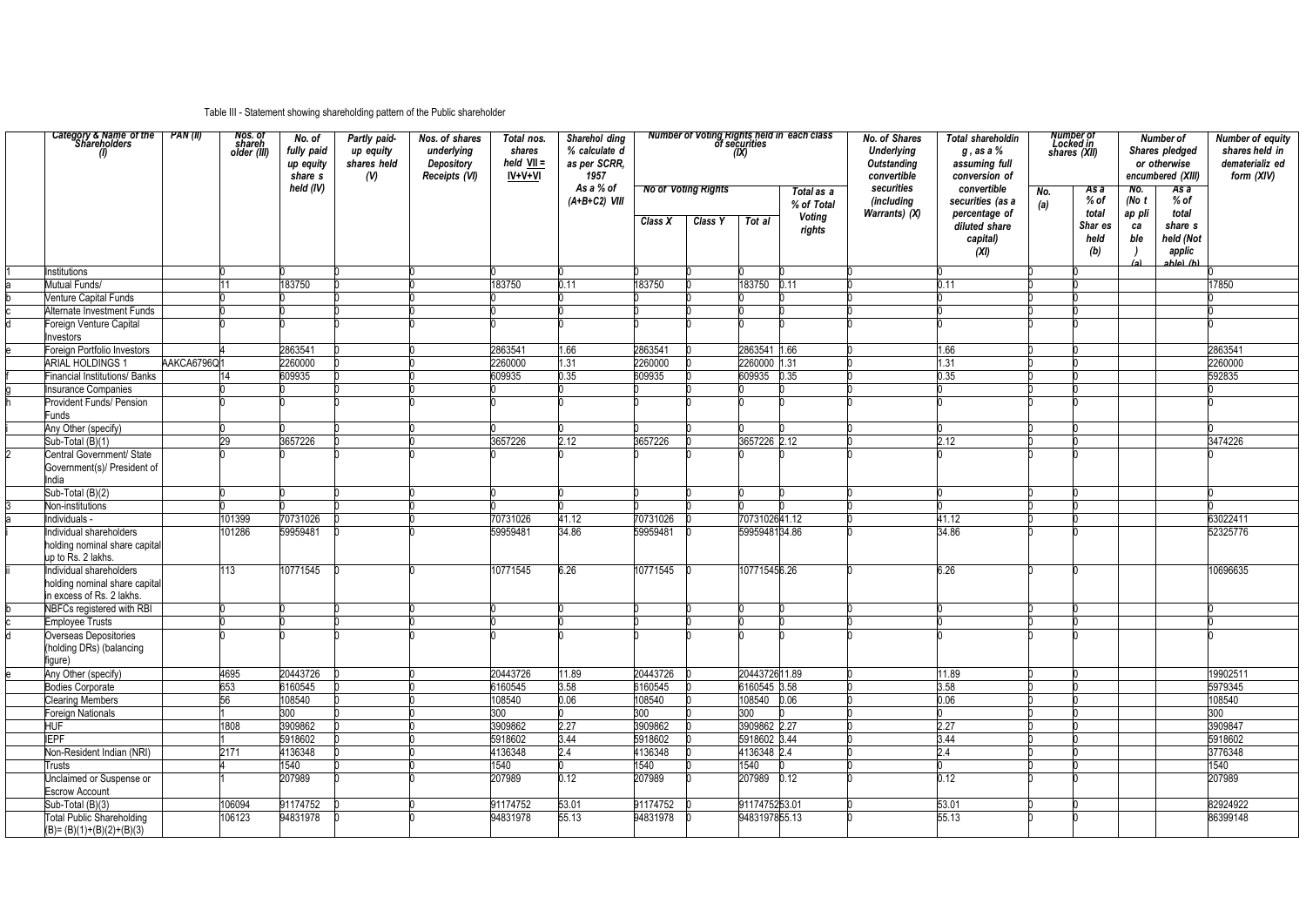# Table III - Statement showing shareholding pattern of the Public shareholder

| Category & Name of the   PAN (II)<br>Shareholders                 |            | Nos. of<br>shareh<br>older (III) | No. of<br>fully paid<br>up equity<br>share s | Partly paid-<br>up equity<br>shares held<br>(V) | Nos. of shares<br>underlying<br><b>Depository</b><br>Receipts (VI) | Total nos.<br>shares<br>held VII =<br>IV+V+VI | Sharehol ding<br>% calculate d<br>as per SCRR,<br>1957 |                  |                                       |                  | <b>Number of Voting Rights held in each class</b><br>of securities | <b>No. of Shares</b><br><b>Underlying</b><br><b>Outstanding</b><br>convertible | <b>Total shareholdin</b><br>$g$ , as a $\%$<br>assuming full<br>conversion of         |            | <b>Number of<br/>Locked in<br/>shares (XII)</b> |                                                | Number of<br>Shares pledged<br>or otherwise<br>encumbered (XIII)              | <b>Number of equity</b><br>shares held in<br>dematerializ ed<br>form (XIV) |
|-------------------------------------------------------------------|------------|----------------------------------|----------------------------------------------|-------------------------------------------------|--------------------------------------------------------------------|-----------------------------------------------|--------------------------------------------------------|------------------|---------------------------------------|------------------|--------------------------------------------------------------------|--------------------------------------------------------------------------------|---------------------------------------------------------------------------------------|------------|-------------------------------------------------|------------------------------------------------|-------------------------------------------------------------------------------|----------------------------------------------------------------------------|
|                                                                   |            |                                  | held (IV)                                    |                                                 |                                                                    |                                               | As a % of<br>$(A+B+C2)$ VIII                           | Class X          | <b>No of Voting Rights</b><br>Class Y | Tot al           | Total as a<br>% of Total<br><b>Voting</b><br>rights                | securities<br>(including<br>Warrants) (X)                                      | convertible<br>securities (as a<br>percentage of<br>diluted share<br>capital)<br>(XI) | No.<br>(a) | As a<br>% of<br>total<br>Shar es<br>held<br>(b) | No.<br>(No $t$<br>ap pli<br>ca<br>ble<br>۱ (و) | As a<br>$%$ of<br>total<br>share s<br>held (Not<br>applic<br>hla) <i>(h</i> l |                                                                            |
| Institutions                                                      |            |                                  |                                              |                                                 |                                                                    |                                               |                                                        |                  |                                       |                  |                                                                    |                                                                                |                                                                                       |            |                                                 |                                                |                                                                               |                                                                            |
| Mutual Funds/                                                     |            |                                  | 183750                                       |                                                 |                                                                    | 183750                                        | 0.11                                                   | 183750           |                                       | 183750           | 0.11                                                               |                                                                                | 0.11                                                                                  |            |                                                 |                                                |                                                                               | 17850                                                                      |
| <b>Venture Capital Funds</b>                                      |            |                                  |                                              |                                                 |                                                                    |                                               |                                                        |                  |                                       |                  |                                                                    |                                                                                |                                                                                       |            |                                                 |                                                |                                                                               |                                                                            |
| Alternate Investment Funds                                        |            |                                  |                                              |                                                 |                                                                    |                                               |                                                        |                  |                                       |                  |                                                                    |                                                                                |                                                                                       |            |                                                 |                                                |                                                                               |                                                                            |
| Foreign Venture Capital<br>nvestors                               |            |                                  |                                              |                                                 |                                                                    |                                               |                                                        |                  |                                       |                  |                                                                    |                                                                                |                                                                                       |            |                                                 |                                                |                                                                               |                                                                            |
| Foreign Portfolio Investors                                       |            |                                  | 2863541                                      |                                                 |                                                                    | 2863541                                       | 1.66                                                   | 2863541          |                                       | 2863541 1.66     |                                                                    |                                                                                | 1.66                                                                                  |            |                                                 |                                                |                                                                               | 2863541                                                                    |
| <b>ARIAL HOLDINGS 1</b>                                           | AAKCA6796Q |                                  | 2260000                                      |                                                 |                                                                    | 2260000                                       | 1.31                                                   | 2260000          |                                       | 2260000          | 1.31                                                               |                                                                                | 1.31                                                                                  |            |                                                 |                                                |                                                                               | 2260000                                                                    |
| <b>Financial Institutions/ Banks</b>                              |            |                                  | 609935                                       |                                                 |                                                                    | 609935                                        | 0.35                                                   | 609935           |                                       | 609935           | 0.35                                                               |                                                                                | 0.35                                                                                  |            |                                                 |                                                |                                                                               | 592835                                                                     |
| <b>Insurance Companies</b>                                        |            |                                  |                                              |                                                 |                                                                    |                                               |                                                        |                  |                                       |                  |                                                                    |                                                                                |                                                                                       |            |                                                 |                                                |                                                                               |                                                                            |
| Provident Funds/ Pension<br><b>Funds</b>                          |            |                                  |                                              |                                                 |                                                                    |                                               |                                                        |                  |                                       |                  |                                                                    |                                                                                |                                                                                       |            |                                                 |                                                |                                                                               |                                                                            |
| Any Other (specify)                                               |            |                                  |                                              |                                                 |                                                                    |                                               |                                                        |                  |                                       |                  |                                                                    |                                                                                |                                                                                       |            |                                                 |                                                |                                                                               |                                                                            |
| Sub-Total (B)(1)                                                  |            | 29                               | 3657226                                      |                                                 |                                                                    | 3657226                                       | 2.12                                                   | 3657226          |                                       | 3657226 2.12     |                                                                    |                                                                                | 2.12                                                                                  |            |                                                 |                                                |                                                                               | 3474226                                                                    |
| Central Government/ State<br>Government(s)/ President of<br>India |            |                                  |                                              |                                                 |                                                                    |                                               |                                                        |                  |                                       |                  |                                                                    |                                                                                |                                                                                       |            |                                                 |                                                |                                                                               |                                                                            |
| Sub-Total (B)(2)                                                  |            |                                  |                                              |                                                 |                                                                    |                                               |                                                        |                  |                                       |                  |                                                                    |                                                                                |                                                                                       |            |                                                 |                                                |                                                                               |                                                                            |
| Non-institutions                                                  |            |                                  |                                              |                                                 |                                                                    |                                               |                                                        |                  |                                       |                  |                                                                    |                                                                                |                                                                                       |            |                                                 |                                                |                                                                               |                                                                            |
| Individuals -                                                     |            | 101399                           | 70731026                                     |                                                 |                                                                    | 70731026                                      | 41.12                                                  | 70731026         |                                       | 7073102641.12    |                                                                    |                                                                                | 41.12                                                                                 |            |                                                 |                                                |                                                                               | 63022411                                                                   |
| Individual shareholders                                           |            | 101286                           | 59959481                                     |                                                 |                                                                    | 59959481                                      | 34.86                                                  | 59959481         |                                       | 5995948134.86    |                                                                    |                                                                                | 34.86                                                                                 |            |                                                 |                                                |                                                                               | 52325776                                                                   |
| holding nominal share capital<br>up to Rs. 2 lakhs.               |            |                                  |                                              |                                                 |                                                                    |                                               |                                                        |                  |                                       |                  |                                                                    |                                                                                |                                                                                       |            |                                                 |                                                |                                                                               |                                                                            |
| Individual shareholders<br>holding nominal share capital          |            | 113                              | 10771545                                     |                                                 |                                                                    | 10771545                                      | 6.26                                                   | 10771545         |                                       | 107715456.26     |                                                                    |                                                                                | 6.26                                                                                  |            |                                                 |                                                |                                                                               | 10696635                                                                   |
| in excess of Rs. 2 lakhs.                                         |            |                                  |                                              |                                                 |                                                                    |                                               |                                                        |                  |                                       |                  |                                                                    |                                                                                |                                                                                       |            |                                                 |                                                |                                                                               |                                                                            |
| NBFCs registered with RBI                                         |            |                                  |                                              |                                                 |                                                                    |                                               |                                                        |                  |                                       |                  |                                                                    |                                                                                |                                                                                       |            |                                                 |                                                |                                                                               |                                                                            |
| <b>Employee Trusts</b>                                            |            |                                  |                                              |                                                 |                                                                    |                                               |                                                        |                  |                                       |                  |                                                                    |                                                                                |                                                                                       |            |                                                 |                                                |                                                                               |                                                                            |
| Overseas Depositories<br>(holding DRs) (balancing<br>figure)      |            |                                  |                                              |                                                 |                                                                    |                                               |                                                        |                  |                                       |                  |                                                                    |                                                                                |                                                                                       |            |                                                 |                                                |                                                                               |                                                                            |
| Any Other (specify)                                               |            | 4695                             | 20443726                                     |                                                 |                                                                    | 20443726                                      | 11.89                                                  | 20443726         |                                       | 2044372611.89    |                                                                    |                                                                                | 11.89                                                                                 |            |                                                 |                                                |                                                                               | 19902511                                                                   |
| <b>Bodies Corporate</b>                                           |            | 653                              | 6160545                                      |                                                 |                                                                    | 6160545                                       | 3.58                                                   | 6160545          |                                       | 6160545 3.58     |                                                                    |                                                                                | 3.58                                                                                  |            |                                                 |                                                |                                                                               | 5979345                                                                    |
| <b>Clearing Members</b>                                           |            | 56                               | 108540                                       |                                                 |                                                                    | 108540                                        | 0.06                                                   | 108540           |                                       | 108540           | 0.06                                                               |                                                                                | 0.06                                                                                  |            |                                                 |                                                |                                                                               | 108540                                                                     |
| <b>Foreign Nationals</b>                                          |            |                                  | 300                                          |                                                 |                                                                    | 300                                           |                                                        | 300 <sub>°</sub> |                                       | 300 <sub>1</sub> |                                                                    |                                                                                |                                                                                       |            |                                                 |                                                |                                                                               | 300                                                                        |
| <b>HUF</b>                                                        |            | 1808                             | 3909862                                      |                                                 |                                                                    | 3909862                                       | 2.27                                                   | 3909862          |                                       | 3909862 2.27     |                                                                    |                                                                                | 2.27                                                                                  |            |                                                 |                                                |                                                                               | 3909847                                                                    |
| <b>IEPF</b>                                                       |            |                                  | 5918602                                      |                                                 |                                                                    | 5918602                                       | 3.44                                                   | 5918602          |                                       | 5918602 3.44     |                                                                    |                                                                                | 3.44                                                                                  |            |                                                 |                                                |                                                                               | 5918602                                                                    |
| Non-Resident Indian (NRI)                                         |            | 2171                             | 4136348                                      |                                                 |                                                                    | 4136348                                       | 2.4                                                    | 4136348          |                                       | 4136348 2.4      |                                                                    |                                                                                | 2.4                                                                                   |            |                                                 |                                                |                                                                               | 3776348                                                                    |
| Trusts                                                            |            |                                  | 1540                                         |                                                 |                                                                    | 1540                                          |                                                        | 1540             |                                       | 1540             |                                                                    |                                                                                |                                                                                       |            |                                                 |                                                |                                                                               | 1540                                                                       |
| Unclaimed or Suspense or                                          |            |                                  | 207989                                       |                                                 |                                                                    | 207989                                        | 0.12                                                   | 207989           |                                       | 207989           | 0.12                                                               |                                                                                | 0.12                                                                                  |            |                                                 |                                                |                                                                               | 207989                                                                     |
| <b>Escrow Account</b>                                             |            |                                  |                                              |                                                 |                                                                    |                                               |                                                        |                  |                                       |                  |                                                                    |                                                                                |                                                                                       |            |                                                 |                                                |                                                                               |                                                                            |
| Sub-Total (B)(3)                                                  |            | 106094                           | 91174752                                     |                                                 |                                                                    | 91174752                                      | 53.01                                                  | 91174752         |                                       | 9117475253.01    |                                                                    |                                                                                | 53.01                                                                                 |            |                                                 |                                                |                                                                               | 82924922                                                                   |
| <b>Total Public Shareholding</b><br>$(B)=(B)(1)+(B)(2)+(B)(3)$    |            | 106123                           | 94831978                                     |                                                 |                                                                    | 94831978                                      | 55.13                                                  | 94831978         |                                       | 9483197855.13    |                                                                    |                                                                                | 55.13                                                                                 |            |                                                 |                                                |                                                                               | 86399148                                                                   |